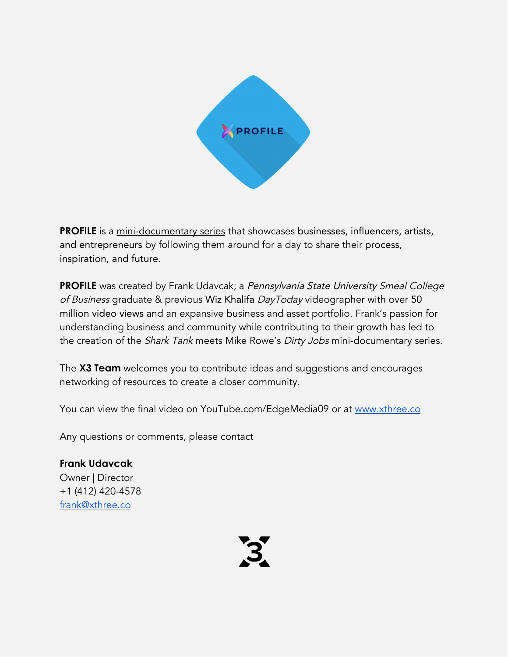

**PROFILE** is a mini-documentary series that showcases businesses, influencers, artists, and entrepreneurs by following them around for a day to share their process, inspiration, and future.

**PROFILE** was created by Frank Udavcak; a Pennsylvania State University Smeal College of Business graduate & previous Wiz Khalifa DayToday videographer with over 50 million video views and an expansive business and asset portfolio. Frank's passion for understanding business and community while contributing to their growth has led to the creation of the *Shark Tank* meets Mike Rowe's *Dirty Jobs* mini-documentary series.

The **X3 Team** welcomes you to contribute ideas and suggestions and encourages networking of resources to create a closer community.

You can view the final video on YouTube.com/EdgeMedia09 or at [www.xthree.co](http://www.xthree.co/)

Any questions or comments, please contact

**Frank Udavcak** Owner | Director +1 (412) 420-4578 [frank@xthree.co](mailto:frank@xthree.co)